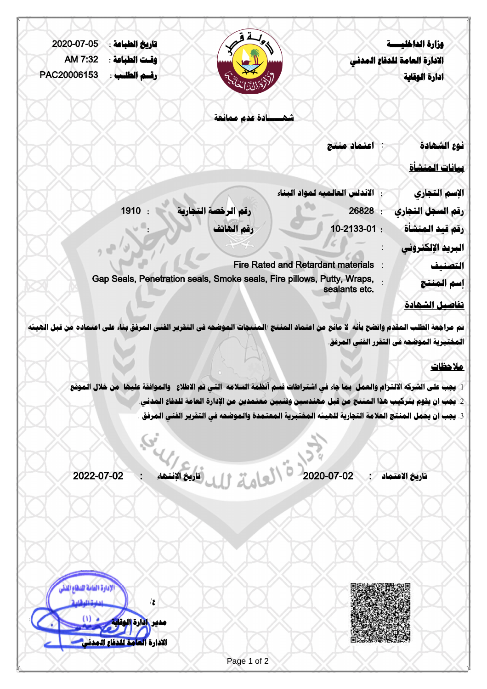| 2020-07-05  | تاريخ الطباعة : | تك                                                                                                                                                                                                                              |                                           | وزارة الداخليسسة                          |
|-------------|-----------------|---------------------------------------------------------------------------------------------------------------------------------------------------------------------------------------------------------------------------------|-------------------------------------------|-------------------------------------------|
| AM 7:32     | وقت الطباعة :   |                                                                                                                                                                                                                                 |                                           | الادارة العامة للدفاع المدنى              |
| PAC20006153 | رقسم الطلب :    |                                                                                                                                                                                                                                 |                                           | ادارة الوقاية                             |
|             |                 | المائية بين<br>المائية                                                                                                                                                                                                          |                                           |                                           |
|             |                 | شهــــادة عدم ممانعة                                                                                                                                                                                                            |                                           |                                           |
|             |                 |                                                                                                                                                                                                                                 | اعتماد منتج                               | نوع الشهادة                               |
|             |                 |                                                                                                                                                                                                                                 |                                           |                                           |
|             |                 |                                                                                                                                                                                                                                 |                                           | بمانات المنشأة                            |
|             |                 |                                                                                                                                                                                                                                 | الاندلس العالميه لمواد البغاء             | الإسم التجارى                             |
|             | 1910 :          | رقم الرخصة التجارية                                                                                                                                                                                                             | 26828                                     | رقم السجل التجارى                         |
|             |                 | رقم الهاتف                                                                                                                                                                                                                      | 10-2133-01:                               | رقم قيد المنشأة                           |
|             |                 |                                                                                                                                                                                                                                 |                                           | البريد الإلكتروني                         |
|             |                 |                                                                                                                                                                                                                                 | <b>Fire Rated and Retardant materials</b> | التصنيف                                   |
|             |                 | Gap Seals, Penetration seals, Smoke seals, Fire pillows, Putty, Wraps,                                                                                                                                                          |                                           | إسم المنتج                                |
|             |                 |                                                                                                                                                                                                                                 | sealants etc.                             |                                           |
|             |                 |                                                                                                                                                                                                                                 |                                           | <u>تفاصيل الشهادة</u>                     |
|             |                 | تم مراجعة الطلب المقدم واتضح بأنه لا مانع من اعتماد المنتج /المنتجات الموضحه في التقرير الفني المرفق بناء على اعتماده من قبل الهيئه                                                                                             |                                           |                                           |
|             |                 |                                                                                                                                                                                                                                 |                                           | المختبرية الموضحه في التقرر الفني المرفق. |
|             |                 |                                                                                                                                                                                                                                 |                                           | ملاحظات                                   |
|             |                 |                                                                                                                                                                                                                                 |                                           |                                           |
|             |                 | 1. يجب على الشركه الالتـزام والعمل  بما جاء في اشتراطات قسم أنظمة السلامه  التي تم الاطلاع   والموافقة عليها  من خلال الموقع<br>2. يجب ان يقوم بتركيب هذا المنتج من قبل مهندسين وفنيين معتمدين من الإدارة العامة للدفاع المدنى. |                                           |                                           |
|             |                 | 3. يجب ان يحمل المنتج العلامة التجارية للهيئه المختبرية المعتمدة والموضحه في التقرير الفني المرفق .                                                                                                                             |                                           |                                           |
|             |                 |                                                                                                                                                                                                                                 |                                           |                                           |
|             |                 |                                                                                                                                                                                                                                 |                                           |                                           |
|             |                 |                                                                                                                                                                                                                                 |                                           |                                           |
| 2022-07-02  |                 |                                                                                                                                                                                                                                 | 2020-07-02                                | تاريخ الاعتماد                            |

Ō,

**ع/**

**مدير ادارة الوقاية**

**الادارة العامة للدفاع المدني**

لإدارة العامة للنظاع اللذي